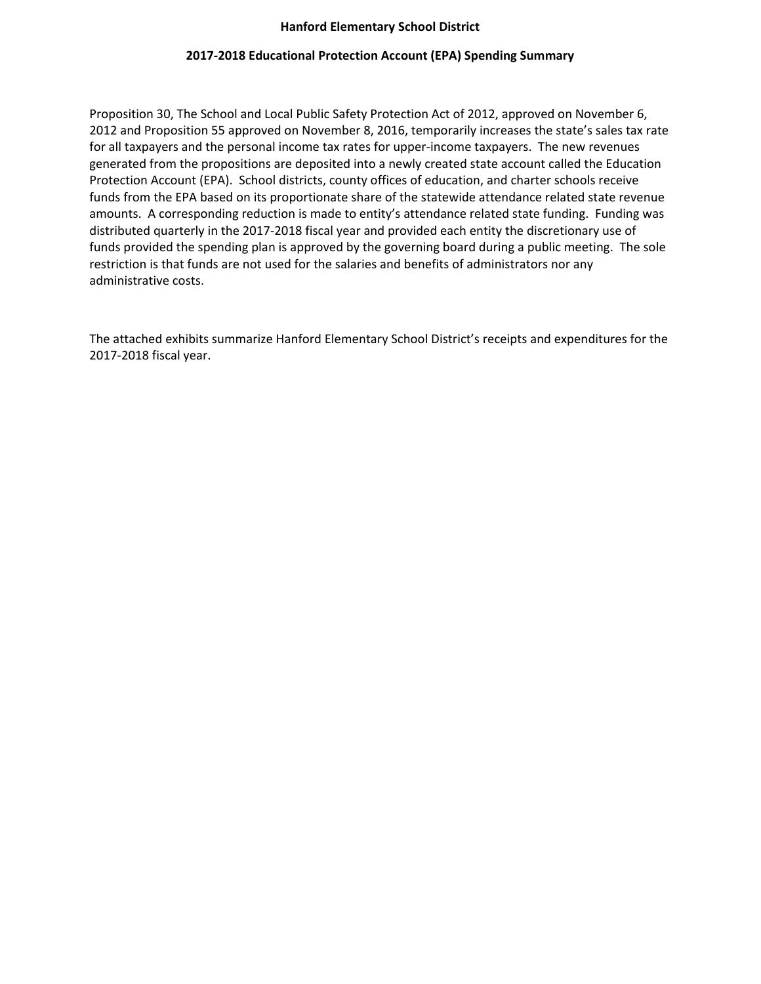#### **Hanford Elementary School District**

#### **2017-2018 Educational Protection Account (EPA) Spending Summary**

Proposition 30, The School and Local Public Safety Protection Act of 2012, approved on November 6, 2012 and Proposition 55 approved on November 8, 2016, temporarily increases the state's sales tax rate for all taxpayers and the personal income tax rates for upper-income taxpayers. The new revenues generated from the propositions are deposited into a newly created state account called the Education Protection Account (EPA). School districts, county offices of education, and charter schools receive funds from the EPA based on its proportionate share of the statewide attendance related state revenue amounts. A corresponding reduction is made to entity's attendance related state funding. Funding was distributed quarterly in the 2017-2018 fiscal year and provided each entity the discretionary use of funds provided the spending plan is approved by the governing board during a public meeting. The sole restriction is that funds are not used for the salaries and benefits of administrators nor any administrative costs.

The attached exhibits summarize Hanford Elementary School District's receipts and expenditures for the 2017-2018 fiscal year.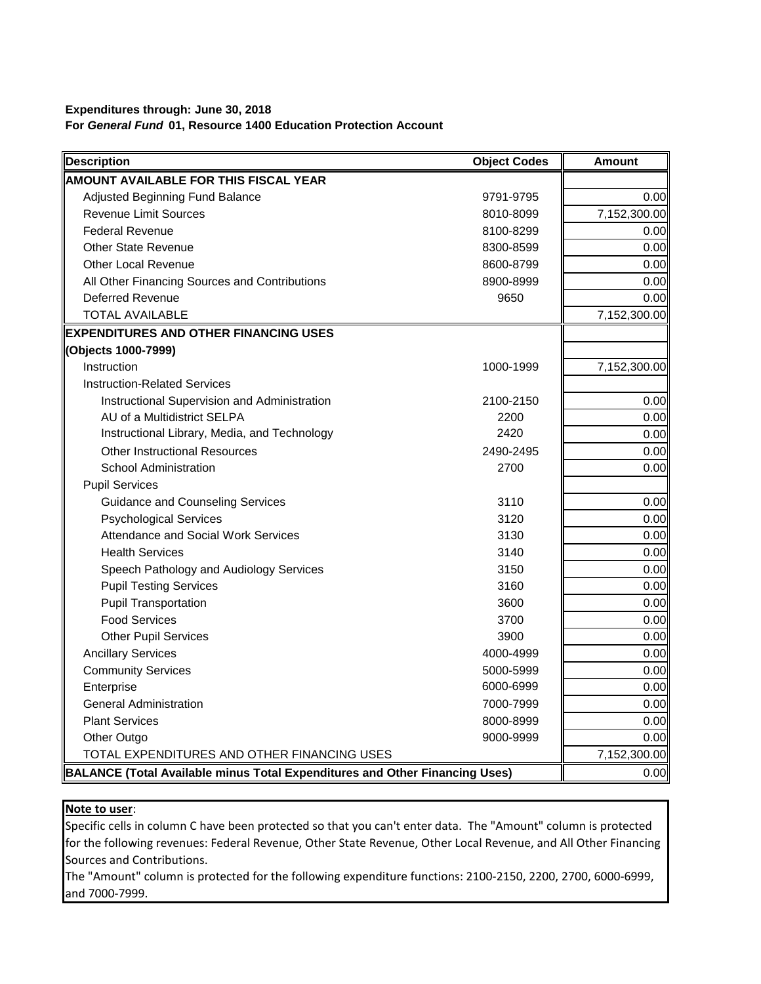## **Expenditures through: June 30, 2018 For** *General Fund* **01, Resource 1400 Education Protection Account**

| <b>Description</b>                                                                 | <b>Object Codes</b> | <b>Amount</b> |
|------------------------------------------------------------------------------------|---------------------|---------------|
| <b>AMOUNT AVAILABLE FOR THIS FISCAL YEAR</b>                                       |                     |               |
| Adjusted Beginning Fund Balance                                                    | 9791-9795           | 0.00          |
| <b>Revenue Limit Sources</b>                                                       | 8010-8099           | 7,152,300.00  |
| <b>Federal Revenue</b>                                                             | 8100-8299           | 0.00          |
| <b>Other State Revenue</b>                                                         | 8300-8599           | 0.00          |
| <b>Other Local Revenue</b>                                                         | 8600-8799           | 0.00          |
| All Other Financing Sources and Contributions                                      | 8900-8999           | 0.00          |
| <b>Deferred Revenue</b>                                                            | 9650                | 0.00          |
| <b>TOTAL AVAILABLE</b>                                                             |                     | 7,152,300.00  |
| <b>EXPENDITURES AND OTHER FINANCING USES</b>                                       |                     |               |
| (Objects 1000-7999)                                                                |                     |               |
| Instruction                                                                        | 1000-1999           | 7,152,300.00  |
| <b>Instruction-Related Services</b>                                                |                     |               |
| Instructional Supervision and Administration                                       | 2100-2150           | 0.00          |
| AU of a Multidistrict SELPA                                                        | 2200                | 0.00          |
| Instructional Library, Media, and Technology                                       | 2420                | 0.00          |
| <b>Other Instructional Resources</b>                                               | 2490-2495           | 0.00          |
| <b>School Administration</b>                                                       | 2700                | 0.00          |
| <b>Pupil Services</b>                                                              |                     |               |
| <b>Guidance and Counseling Services</b>                                            | 3110                | 0.00          |
| <b>Psychological Services</b>                                                      | 3120                | 0.00          |
| <b>Attendance and Social Work Services</b>                                         | 3130                | 0.00          |
| <b>Health Services</b>                                                             | 3140                | 0.00          |
| Speech Pathology and Audiology Services                                            | 3150                | 0.00          |
| <b>Pupil Testing Services</b>                                                      | 3160                | 0.00          |
| <b>Pupil Transportation</b>                                                        | 3600                | 0.00          |
| <b>Food Services</b>                                                               | 3700                | 0.00          |
| <b>Other Pupil Services</b>                                                        | 3900                | 0.00          |
| <b>Ancillary Services</b>                                                          | 4000-4999           | 0.00          |
| <b>Community Services</b>                                                          | 5000-5999           | 0.00          |
| Enterprise                                                                         | 6000-6999           | 0.00          |
| <b>General Administration</b>                                                      | 7000-7999           | 0.00          |
| <b>Plant Services</b>                                                              | 8000-8999           | 0.00          |
| Other Outgo                                                                        | 9000-9999           | 0.00          |
| TOTAL EXPENDITURES AND OTHER FINANCING USES                                        |                     | 7,152,300.00  |
| <b>BALANCE (Total Available minus Total Expenditures and Other Financing Uses)</b> |                     | 0.00          |

# **Note to user**:

Specific cells in column C have been protected so that you can't enter data. The "Amount" column is protected for the following revenues: Federal Revenue, Other State Revenue, Other Local Revenue, and All Other Financing Sources and Contributions.

The "Amount" column is protected for the following expenditure functions: 2100-2150, 2200, 2700, 6000-6999, and 7000-7999.